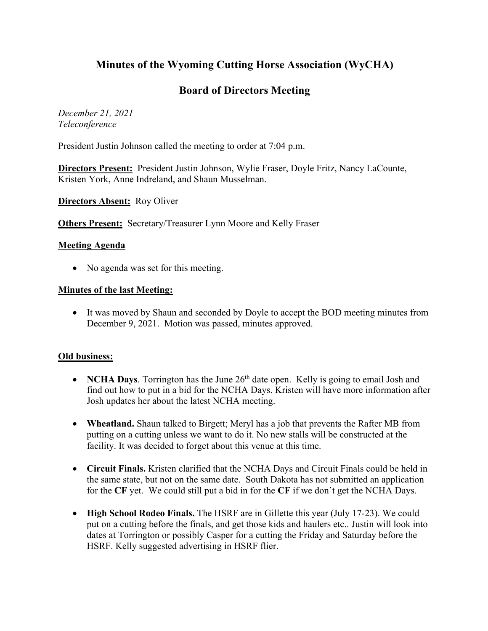# **Minutes of the Wyoming Cutting Horse Association (WyCHA)**

## **Board of Directors Meeting**

*December 21, 2021 Teleconference*

President Justin Johnson called the meeting to order at 7:04 p.m.

**Directors Present:** President Justin Johnson, Wylie Fraser, Doyle Fritz, Nancy LaCounte, Kristen York, Anne Indreland, and Shaun Musselman.

**Directors Absent:** Roy Oliver

**Others Present:** Secretary/Treasurer Lynn Moore and Kelly Fraser

#### **Meeting Agenda**

• No agenda was set for this meeting.

#### **Minutes of the last Meeting:**

• It was moved by Shaun and seconded by Doyle to accept the BOD meeting minutes from December 9, 2021. Motion was passed, minutes approved.

### **Old business:**

- **NCHA Days**. Torrington has the June 26<sup>th</sup> date open. Kelly is going to email Josh and find out how to put in a bid for the NCHA Days. Kristen will have more information after Josh updates her about the latest NCHA meeting.
- **Wheatland.** Shaun talked to Birgett; Meryl has a job that prevents the Rafter MB from putting on a cutting unless we want to do it. No new stalls will be constructed at the facility. It was decided to forget about this venue at this time.
- **Circuit Finals.** Kristen clarified that the NCHA Days and Circuit Finals could be held in the same state, but not on the same date. South Dakota has not submitted an application for the **CF** yet. We could still put a bid in for the **CF** if we don't get the NCHA Days.
- **High School Rodeo Finals.** The HSRF are in Gillette this year (July 17-23). We could put on a cutting before the finals, and get those kids and haulers etc.. Justin will look into dates at Torrington or possibly Casper for a cutting the Friday and Saturday before the HSRF. Kelly suggested advertising in HSRF flier.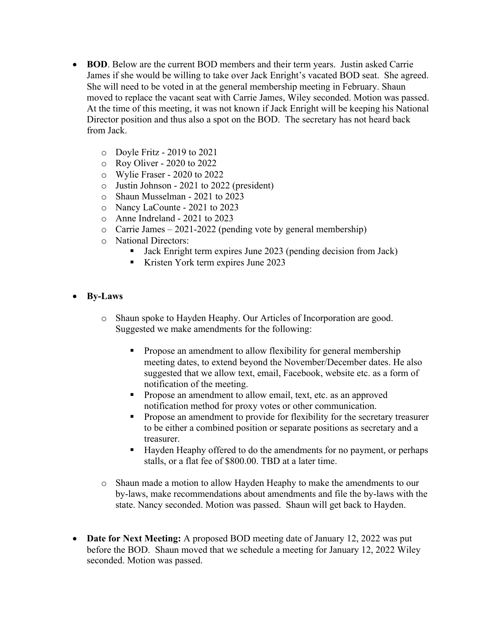- **BOD**. Below are the current BOD members and their term years. Justin asked Carrie James if she would be willing to take over Jack Enright's vacated BOD seat. She agreed. She will need to be voted in at the general membership meeting in February. Shaun moved to replace the vacant seat with Carrie James, Wiley seconded. Motion was passed. At the time of this meeting, it was not known if Jack Enright will be keeping his National Director position and thus also a spot on the BOD. The secretary has not heard back from Jack.
	- o Doyle Fritz 2019 to 2021
	- o Roy Oliver 2020 to 2022
	- o Wylie Fraser 2020 to 2022
	- o Justin Johnson 2021 to 2022 (president)
	- o Shaun Musselman 2021 to 2023
	- o Nancy LaCounte 2021 to 2023
	- o Anne Indreland 2021 to 2023
	- $\circ$  Carrie James 2021-2022 (pending vote by general membership)
	- o National Directors:
		- Jack Enright term expires June 2023 (pending decision from Jack)
		- Kristen York term expires June 2023
- **By-Laws**
	- o Shaun spoke to Hayden Heaphy. Our Articles of Incorporation are good. Suggested we make amendments for the following:
		- § Propose an amendment to allow flexibility for general membership meeting dates, to extend beyond the November/December dates. He also suggested that we allow text, email, Facebook, website etc. as a form of notification of the meeting.
		- Propose an amendment to allow email, text, etc. as an approved notification method for proxy votes or other communication.
		- Propose an amendment to provide for flexibility for the secretary treasurer to be either a combined position or separate positions as secretary and a treasurer.
		- Hayden Heaphy offered to do the amendments for no payment, or perhaps stalls, or a flat fee of \$800.00. TBD at a later time.
	- o Shaun made a motion to allow Hayden Heaphy to make the amendments to our by-laws, make recommendations about amendments and file the by-laws with the state. Nancy seconded. Motion was passed. Shaun will get back to Hayden.
- **Date for Next Meeting:** A proposed BOD meeting date of January 12, 2022 was put before the BOD. Shaun moved that we schedule a meeting for January 12, 2022 Wiley seconded. Motion was passed.